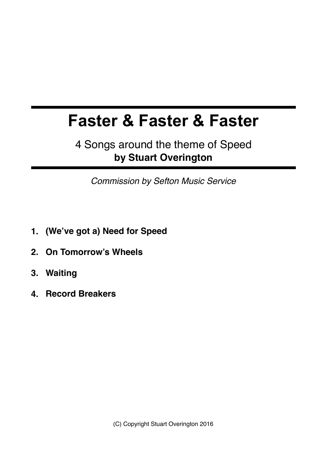# **Faster & Faster & Faster**

### 4 Songs around the theme of Speed **by Stuart Overington**

*Commission by Sefton Music Service*

- **1. (We've got a) Need for Speed**
- **2. On Tomorrow's Wheels**
- **3. Waiting**
- **4. Record Breakers**

(C) Copyright Stuart Overington 2016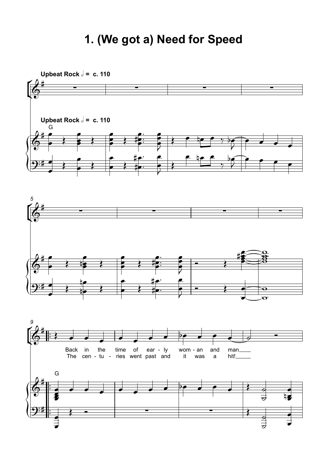## **1. (We got a) Need for Speed**

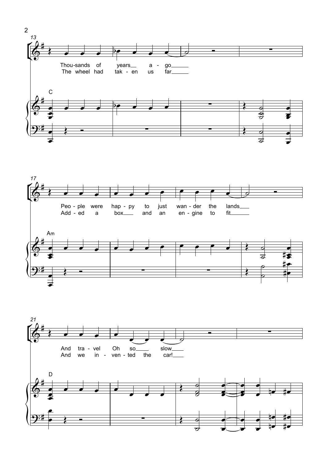



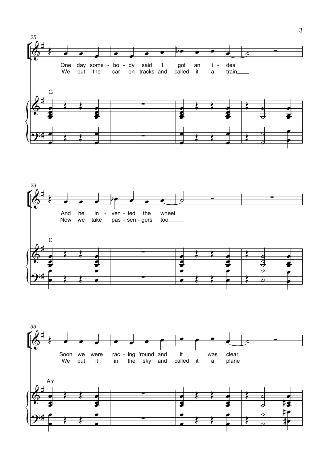





 $\mathbf{3}$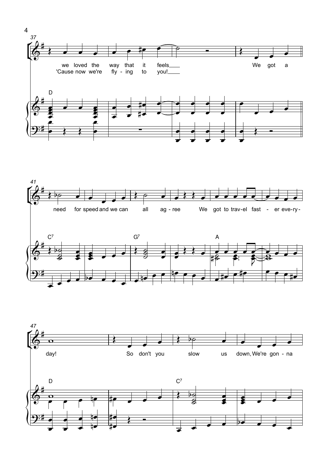



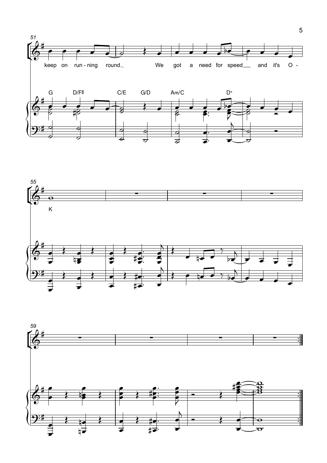



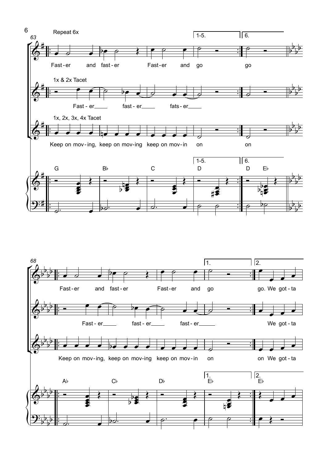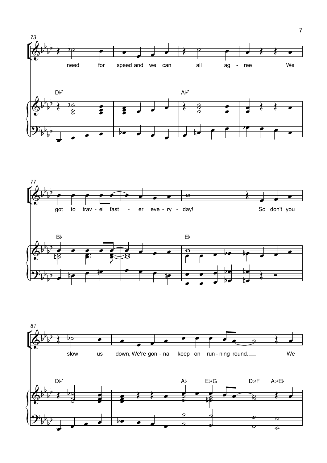





7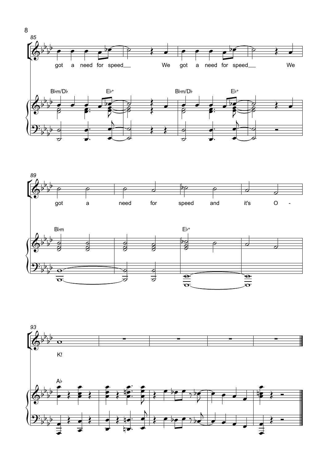



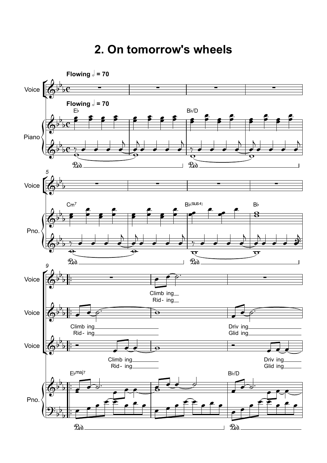### **2. On tomorrow's wheels**

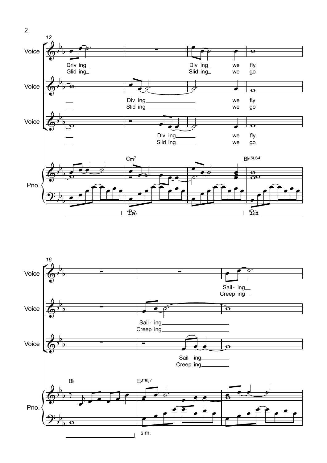

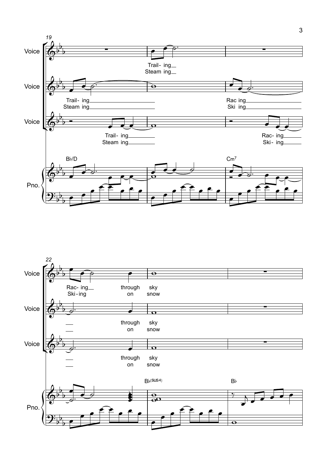

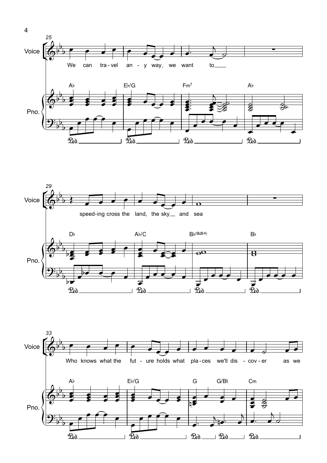





4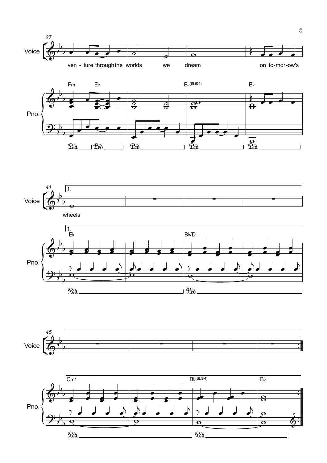



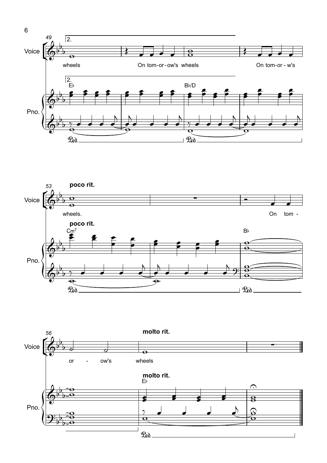



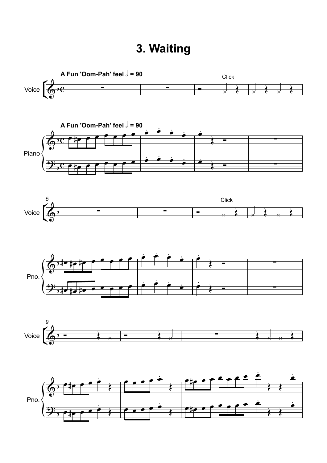#### 3. Waiting





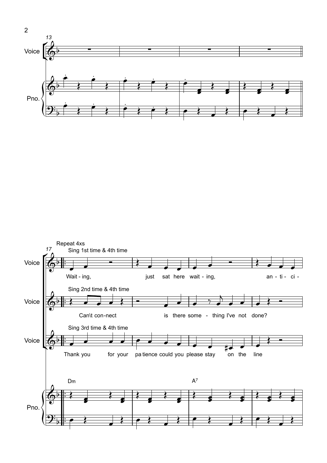

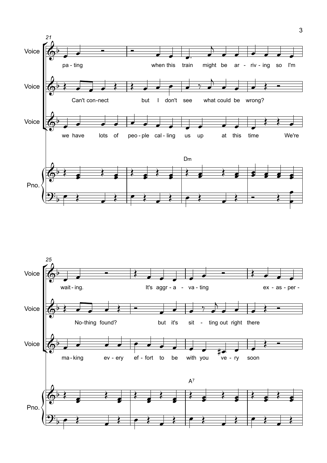

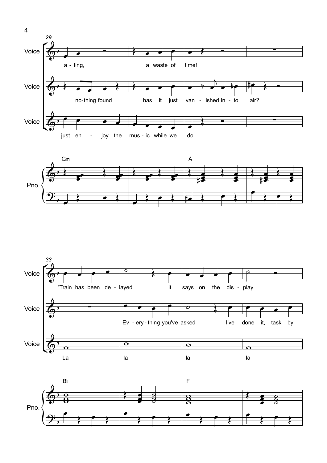

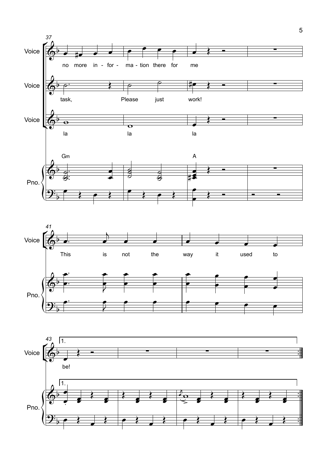



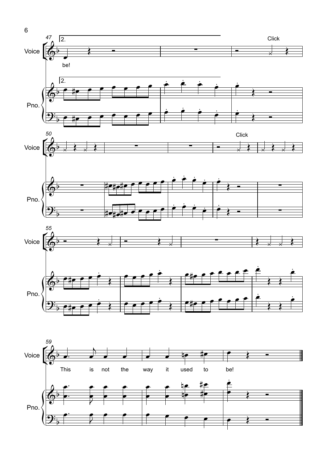

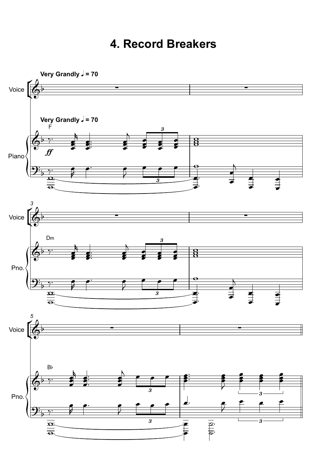#### **4. Record Breakers**

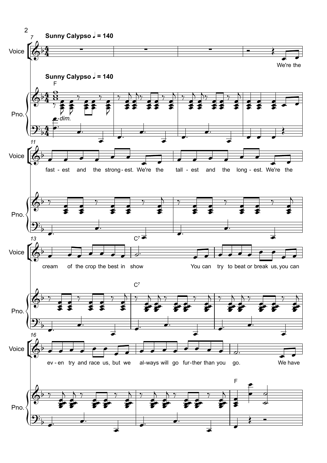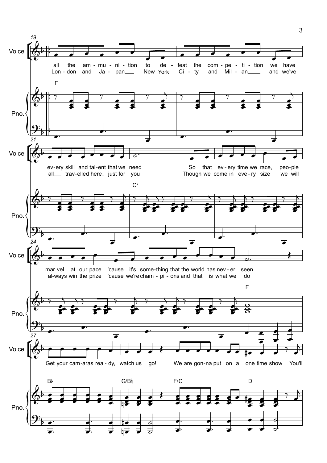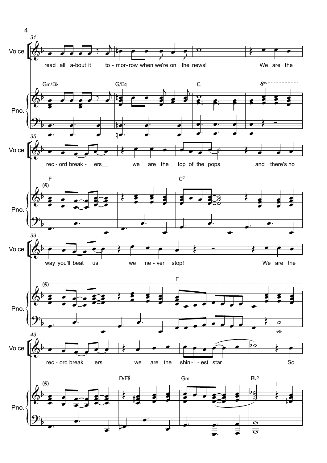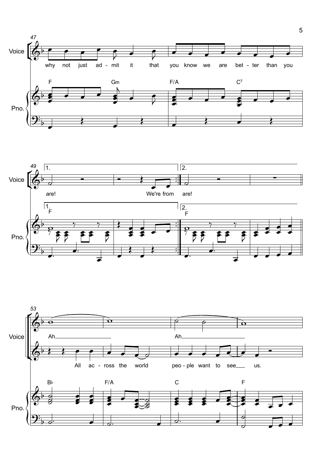



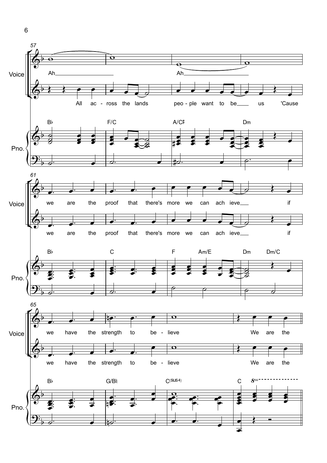

6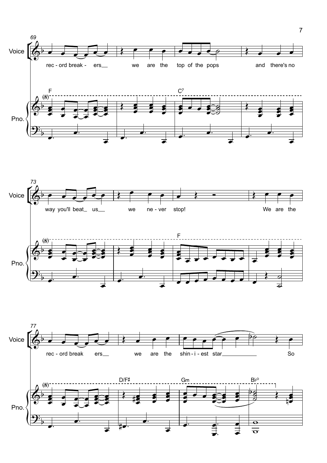



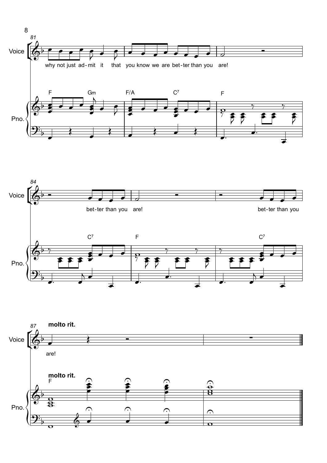



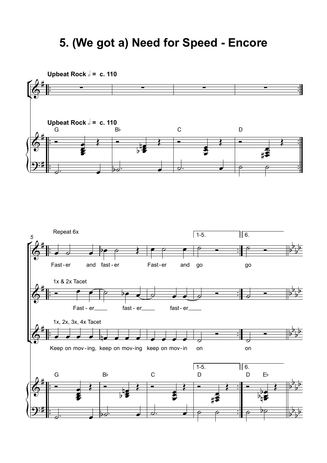#### **5. (We got a) Need for Speed - Encore**

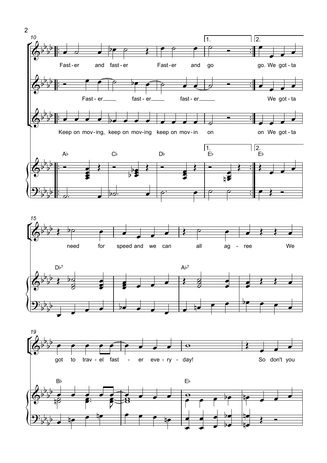